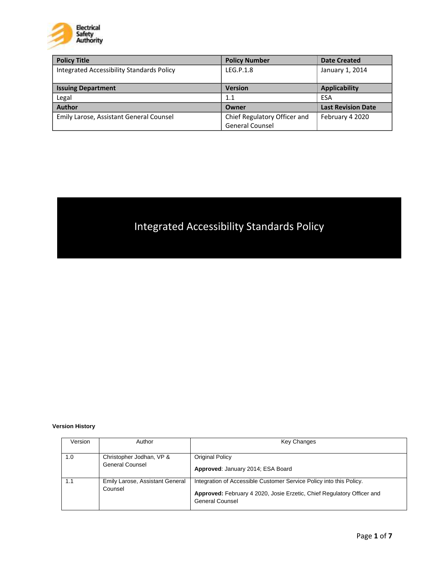

| <b>Policy Title</b>                       | <b>Policy Number</b>         | <b>Date Created</b>       |
|-------------------------------------------|------------------------------|---------------------------|
| Integrated Accessibility Standards Policy | LEG.P.1.8                    | January 1, 2014           |
|                                           |                              |                           |
| <b>Issuing Department</b>                 | <b>Version</b>               | Applicability             |
| Legal                                     | 1.1                          | ESA                       |
| <b>Author</b>                             | Owner                        | <b>Last Revision Date</b> |
| Emily Larose, Assistant General Counsel   | Chief Regulatory Officer and | February 4 2020           |
|                                           | <b>General Counsel</b>       |                           |

# Integrated Accessibility Standards Policy

#### **Version History**

| Version | Author                                      | <b>Key Changes</b>                                                                                                                                               |
|---------|---------------------------------------------|------------------------------------------------------------------------------------------------------------------------------------------------------------------|
| 1.0     | Christopher Jodhan, VP &<br>General Counsel | <b>Original Policy</b><br>Approved: January 2014; ESA Board                                                                                                      |
|         | Emily Larose, Assistant General<br>Counsel  | Integration of Accessible Customer Service Policy into this Policy.<br>Approved: February 4 2020, Josie Erzetic, Chief Regulatory Officer and<br>General Counsel |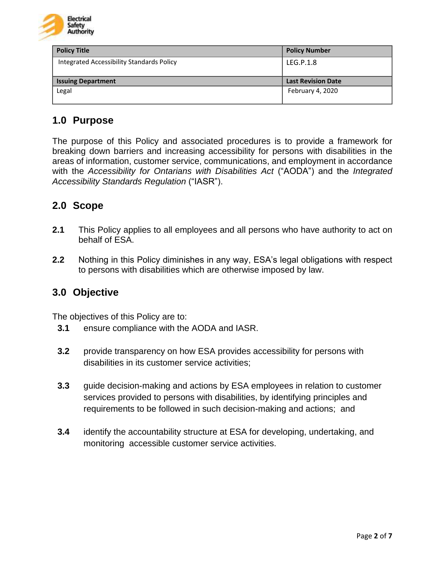

| <b>Policy Title</b>                       | <b>Policy Number</b>      |
|-------------------------------------------|---------------------------|
| Integrated Accessibility Standards Policy | LEG.P.1.8                 |
|                                           |                           |
| <b>Issuing Department</b>                 | <b>Last Revision Date</b> |
| Legal                                     | February 4, 2020          |
|                                           |                           |

# **1.0 Purpose**

The purpose of this Policy and associated procedures is to provide a framework for breaking down barriers and increasing accessibility for persons with disabilities in the areas of information, customer service, communications, and employment in accordance with the *Accessibility for Ontarians with Disabilities Act* ("AODA") and the *Integrated Accessibility Standards Regulation* ("IASR").

# **2.0 Scope**

- **2.1** This Policy applies to all employees and all persons who have authority to act on behalf of ESA.
- **2.2** Nothing in this Policy diminishes in any way, ESA's legal obligations with respect to persons with disabilities which are otherwise imposed by law.

## **3.0 Objective**

The objectives of this Policy are to:

- **3.1** ensure compliance with the AODA and IASR.
- **3.2** provide transparency on how ESA provides accessibility for persons with disabilities in its customer service activities;
- **3.3** guide decision-making and actions by ESA employees in relation to customer services provided to persons with disabilities, by identifying principles and requirements to be followed in such decision-making and actions; and
- **3.4** identify the accountability structure at ESA for developing, undertaking, and monitoring accessible customer service activities.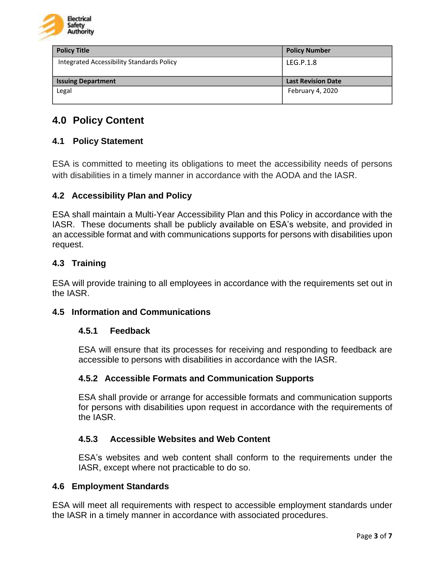

| <b>Policy Title</b>                       | <b>Policy Number</b>      |
|-------------------------------------------|---------------------------|
| Integrated Accessibility Standards Policy | LEG.P.1.8                 |
|                                           |                           |
| <b>Issuing Department</b>                 | <b>Last Revision Date</b> |
| Legal                                     | February 4, 2020          |
|                                           |                           |

# **4.0 Policy Content**

#### **4.1 Policy Statement**

ESA is committed to meeting its obligations to meet the accessibility needs of persons with disabilities in a timely manner in accordance with the AODA and the IASR.

#### **4.2 Accessibility Plan and Policy**

ESA shall maintain a Multi-Year Accessibility Plan and this Policy in accordance with the IASR. These documents shall be publicly available on ESA's website, and provided in an accessible format and with communications supports for persons with disabilities upon request.

#### **4.3 Training**

ESA will provide training to all employees in accordance with the requirements set out in the IASR.

#### **4.5 Information and Communications**

#### **4.5.1 Feedback**

ESA will ensure that its processes for receiving and responding to feedback are accessible to persons with disabilities in accordance with the IASR.

#### **4.5.2 Accessible Formats and Communication Supports**

ESA shall provide or arrange for accessible formats and communication supports for persons with disabilities upon request in accordance with the requirements of the IASR.

#### **4.5.3 Accessible Websites and Web Content**

ESA's websites and web content shall conform to the requirements under the IASR, except where not practicable to do so.

#### **4.6 Employment Standards**

ESA will meet all requirements with respect to accessible employment standards under the IASR in a timely manner in accordance with associated procedures.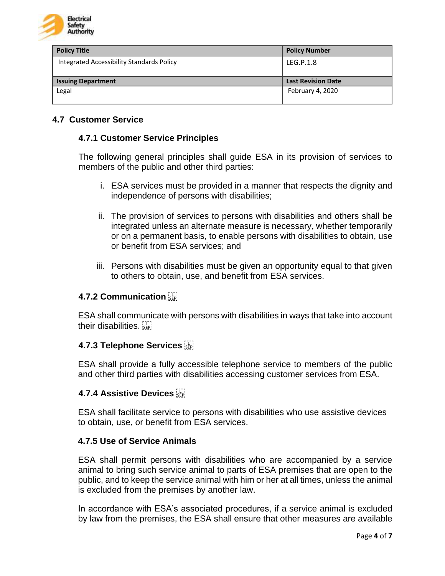

| Policy Title                              | <b>Policy Number</b>      |
|-------------------------------------------|---------------------------|
| Integrated Accessibility Standards Policy | LEG.P.1.8                 |
|                                           |                           |
| <b>Issuing Department</b>                 | <b>Last Revision Date</b> |
| Legal                                     | February 4, 2020          |
|                                           |                           |

#### **4.7 Customer Service**

#### **4.7.1 Customer Service Principles**

The following general principles shall guide ESA in its provision of services to members of the public and other third parties:

- i. ESA services must be provided in a manner that respects the dignity and independence of persons with disabilities;
- ii. The provision of services to persons with disabilities and others shall be integrated unless an alternate measure is necessary, whether temporarily or on a permanent basis, to enable persons with disabilities to obtain, use or benefit from ESA services; and
- iii. Persons with disabilities must be given an opportunity equal to that given to others to obtain, use, and benefit from ESA services.

#### **4.7.2 Communication**

ESA shall communicate with persons with disabilities in ways that take into account their disabilities.

#### **4.7.3 Telephone Services**

ESA shall provide a fully accessible telephone service to members of the public and other third parties with disabilities accessing customer services from ESA.

#### **4.7.4 Assistive Devices**

ESA shall facilitate service to persons with disabilities who use assistive devices to obtain, use, or benefit from ESA services.

#### **4.7.5 Use of Service Animals**

ESA shall permit persons with disabilities who are accompanied by a service animal to bring such service animal to parts of ESA premises that are open to the public, and to keep the service animal with him or her at all times, unless the animal is excluded from the premises by another law.

In accordance with ESA's associated procedures, if a service animal is excluded by law from the premises, the ESA shall ensure that other measures are available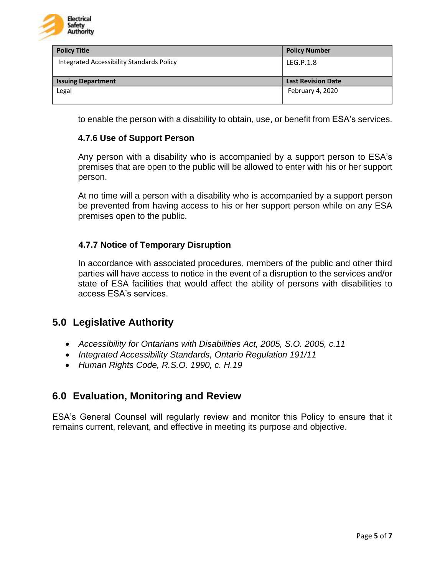

| Policy Title                              | <b>Policy Number</b>      |
|-------------------------------------------|---------------------------|
| Integrated Accessibility Standards Policy | LEG.P.1.8                 |
|                                           |                           |
| <b>Issuing Department</b>                 | <b>Last Revision Date</b> |
| Legal                                     | February 4, 2020          |
|                                           |                           |

to enable the person with a disability to obtain, use, or benefit from ESA's services.

#### **4.7.6 Use of Support Person**

Any person with a disability who is accompanied by a support person to ESA's premises that are open to the public will be allowed to enter with his or her support person.

At no time will a person with a disability who is accompanied by a support person be prevented from having access to his or her support person while on any ESA premises open to the public.

#### **4.7.7 Notice of Temporary Disruption**

In accordance with associated procedures, members of the public and other third parties will have access to notice in the event of a disruption to the services and/or state of ESA facilities that would affect the ability of persons with disabilities to access ESA's services.

#### **5.0 Legislative Authority**

- *Accessibility for Ontarians with Disabilities Act, 2005, S.O. 2005, c.11*
- *Integrated Accessibility Standards, Ontario Regulation 191/11*
- *Human Rights Code, R.S.O. 1990, c. H.19*

#### **6.0 Evaluation, Monitoring and Review**

ESA's General Counsel will regularly review and monitor this Policy to ensure that it remains current, relevant, and effective in meeting its purpose and objective.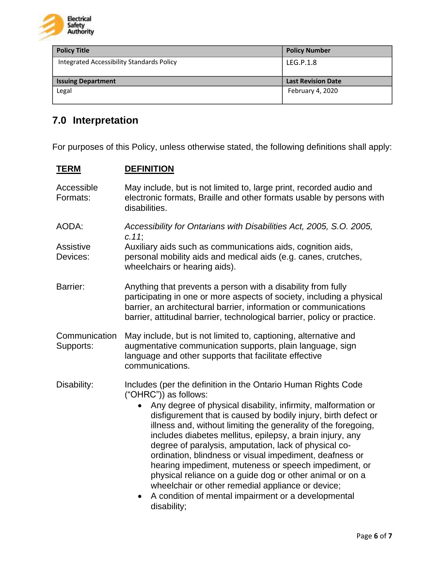

| <b>Policy Title</b>                       | <b>Policy Number</b>      |
|-------------------------------------------|---------------------------|
| Integrated Accessibility Standards Policy | LEG.P.1.8                 |
|                                           |                           |
| <b>Issuing Department</b>                 | <b>Last Revision Date</b> |
| Legal                                     | February 4, 2020          |
|                                           |                           |

# **7.0 Interpretation**

For purposes of this Policy, unless otherwise stated, the following definitions shall apply:

### **TERM DEFINITION**

| Accessible<br>Formats:     | May include, but is not limited to, large print, recorded audio and<br>electronic formats, Braille and other formats usable by persons with<br>disabilities.                                                                                                                                                                                                                                                                                                                                                                                                                                                                                                                                                                              |
|----------------------------|-------------------------------------------------------------------------------------------------------------------------------------------------------------------------------------------------------------------------------------------------------------------------------------------------------------------------------------------------------------------------------------------------------------------------------------------------------------------------------------------------------------------------------------------------------------------------------------------------------------------------------------------------------------------------------------------------------------------------------------------|
| AODA:                      | Accessibility for Ontarians with Disabilities Act, 2005, S.O. 2005,<br>C.11                                                                                                                                                                                                                                                                                                                                                                                                                                                                                                                                                                                                                                                               |
| Assistive<br>Devices:      | Auxiliary aids such as communications aids, cognition aids,<br>personal mobility aids and medical aids (e.g. canes, crutches,<br>wheelchairs or hearing aids).                                                                                                                                                                                                                                                                                                                                                                                                                                                                                                                                                                            |
| Barrier:                   | Anything that prevents a person with a disability from fully<br>participating in one or more aspects of society, including a physical<br>barrier, an architectural barrier, information or communications<br>barrier, attitudinal barrier, technological barrier, policy or practice.                                                                                                                                                                                                                                                                                                                                                                                                                                                     |
| Communication<br>Supports: | May include, but is not limited to, captioning, alternative and<br>augmentative communication supports, plain language, sign<br>language and other supports that facilitate effective<br>communications.                                                                                                                                                                                                                                                                                                                                                                                                                                                                                                                                  |
| Disability:                | Includes (per the definition in the Ontario Human Rights Code<br>("OHRC")) as follows:<br>Any degree of physical disability, infirmity, malformation or<br>disfigurement that is caused by bodily injury, birth defect or<br>illness and, without limiting the generality of the foregoing,<br>includes diabetes mellitus, epilepsy, a brain injury, any<br>degree of paralysis, amputation, lack of physical co-<br>ordination, blindness or visual impediment, deafness or<br>hearing impediment, muteness or speech impediment, or<br>physical reliance on a guide dog or other animal or on a<br>wheelchair or other remedial appliance or device;<br>A condition of mental impairment or a developmental<br>$\bullet$<br>disability; |